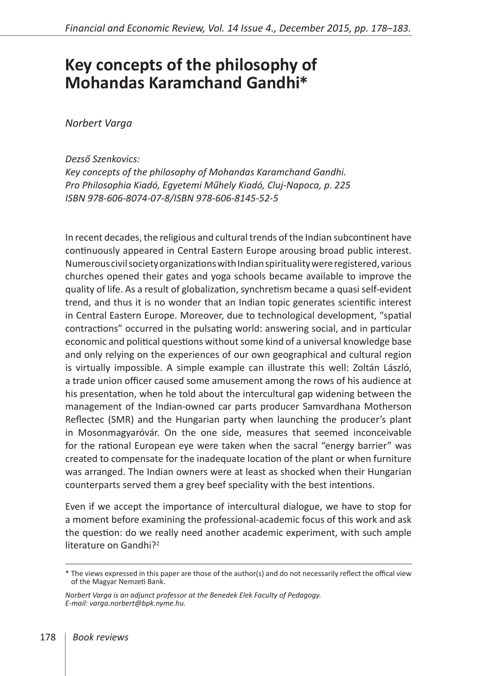## **Key concepts of the philosophy of Mohandas Karamchand Gandhi \***

*Norbert Varga*

## *Dezső Szenkovics:*

*Key concepts of the philosophy of Mohandas Karamchand Gandhi. Pro Philosophia Kiadó, Egyetemi Műhely Kiadó, Cluj-Napoca, p. 225 ISBN 978-606-8074-07-8/ISBN 978-606-8145-52-5*

In recent decades, the religious and cultural trends of the Indian subcontinent have continuously appeared in Central Eastern Europe arousing broad public interest. Numerous civil society organizations with Indian spirituality were registered, various churches opened their gates and yoga schools became available to improve the quality of life. As a result of globalization, synchretism became a quasi self-evident trend, and thus it is no wonder that an Indian topic generates scientific interest in Central Eastern Europe. Moreover, due to technological development, "spatial contractions" occurred in the pulsating world: answering social, and in particular economic and political questions without some kind of a universal knowledge base and only relying on the experiences of our own geographical and cultural region is virtually impossible. A simple example can illustrate this well: Zoltán László, a trade union officer caused some amusement among the rows of his audience at his presentation, when he told about the intercultural gap widening between the management of the Indian-owned car parts producer Samvardhana Motherson Reflectec (SMR) and the Hungarian party when launching the producer's plant in Mosonmagyaróvár. On the one side, measures that seemed inconceivable for the rational European eye were taken when the sacral "energy barrier" was created to compensate for the inadequate location of the plant or when furniture was arranged. The Indian owners were at least as shocked when their Hungarian counterparts served them a grey beef speciality with the best intentions.

Even if we accept the importance of intercultural dialogue, we have to stop for a moment before examining the professional-academic focus of this work and ask the question: do we really need another academic experiment, with such ample literature on Gandhi?<sup>2</sup>

<sup>\*</sup> The views expressed in this paper are those of the author(s) and do not necessarily reflect the offical view of the Magyar Nemzeti Bank.

*Norbert Varga is an adjunct professor at the Benedek Elek Faculty of Pedagogy. E-mail: [varga.norbert@bpk.nyme.hu](mailto:varga.norbert@bpk.nyme.hu).*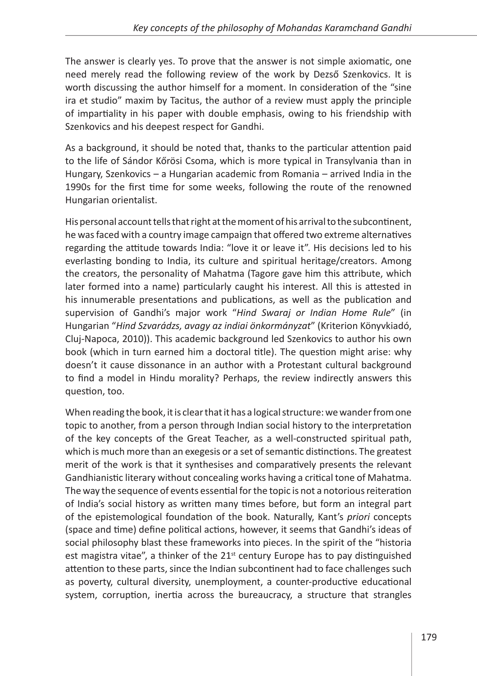The answer is clearly yes. To prove that the answer is not simple axiomatic, one need merely read the following review of the work by Dezső Szenkovics. It is worth discussing the author himself for a moment. In consideration of the "sine ira et studio" maxim by Tacitus, the author of a review must apply the principle of impartiality in his paper with double emphasis, owing to his friendship with Szenkovics and his deepest respect for Gandhi.

As a background, it should be noted that, thanks to the particular attention paid to the life of Sándor Kőrösi Csoma, which is more typical in Transylvania than in Hungary, Szenkovics – a Hungarian academic from Romania – arrived India in the 1990s for the first time for some weeks, following the route of the renowned Hungarian orientalist.

His personal account tells that right at the moment of his arrival to the subcontinent, he was faced with a country image campaign that offered two extreme alternatives regarding the attitude towards India: "love it or leave it". His decisions led to his everlasting bonding to India, its culture and spiritual heritage/creators. Among the creators, the personality of Mahatma (Tagore gave him this attribute, which later formed into a name) particularly caught his interest. All this is attested in his innumerable presentations and publications, as well as the publication and supervision of Gandhi's major work "*Hind Swaraj or Indian Home Rule*" (in Hungarian "*Hind Szvarádzs, avagy az indiai önkormányzat*" (Kriterion Könyvkiadó, Cluj-Napoca, 2010)). This academic background led Szenkovics to author his own book (which in turn earned him a doctoral title). The question might arise: why doesn't it cause dissonance in an author with a Protestant cultural background to find a model in Hindu morality? Perhaps, the review indirectly answers this question, too.

When reading the book, it is clear that it has a logical structure: we wander from one topic to another, from a person through Indian social history to the interpretation of the key concepts of the Great Teacher, as a well-constructed spiritual path, which is much more than an exegesis or a set of semantic distinctions. The greatest merit of the work is that it synthesises and comparatively presents the relevant Gandhianistic literary without concealing works having a critical tone of Mahatma. The way the sequence of events essential for the topic is not a notorious reiteration of India's social history as written many times before, but form an integral part of the epistemological foundation of the book. Naturally, Kant's *priori* concepts (space and time) define political actions, however, it seems that Gandhi's ideas of social philosophy blast these frameworks into pieces. In the spirit of the "historia est magistra vitae", a thinker of the  $21<sup>st</sup>$  century Europe has to pay distinguished attention to these parts, since the Indian subcontinent had to face challenges such as poverty, cultural diversity, unemployment, a counter-productive educational system, corruption, inertia across the bureaucracy, a structure that strangles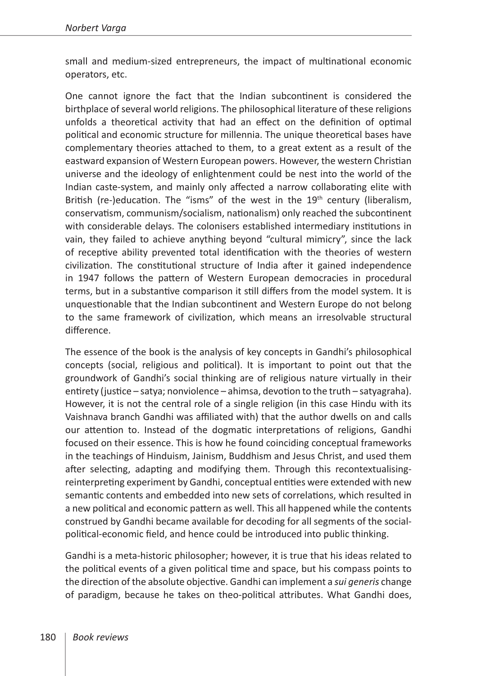small and medium-sized entrepreneurs, the impact of multinational economic operators, etc.

One cannot ignore the fact that the Indian subcontinent is considered the birthplace of several world religions. The philosophical literature of these religions unfolds a theoretical activity that had an effect on the definition of optimal political and economic structure for millennia. The unique theoretical bases have complementary theories attached to them, to a great extent as a result of the eastward expansion of Western European powers. However, the western Christian universe and the ideology of enlightenment could be nest into the world of the Indian caste-system, and mainly only affected a narrow collaborating elite with British (re-)education. The "isms" of the west in the  $19<sup>th</sup>$  century (liberalism, conservatism, communism/socialism, nationalism) only reached the subcontinent with considerable delays. The colonisers established intermediary institutions in vain, they failed to achieve anything beyond "cultural mimicry", since the lack of receptive ability prevented total identification with the theories of western civilization. The constitutional structure of India after it gained independence in 1947 follows the pattern of Western European democracies in procedural terms, but in a substantive comparison it still differs from the model system. It is unquestionable that the Indian subcontinent and Western Europe do not belong to the same framework of civilization, which means an irresolvable structural difference.

The essence of the book is the analysis of key concepts in Gandhi's philosophical concepts (social, religious and political). It is important to point out that the groundwork of Gandhi's social thinking are of religious nature virtually in their entirety (justice – satya; nonviolence – ahimsa, devotion to the truth – satyagraha). However, it is not the central role of a single religion (in this case Hindu with its Vaishnava branch Gandhi was affiliated with) that the author dwells on and calls our attention to. Instead of the dogmatic interpretations of religions, Gandhi focused on their essence. This is how he found coinciding conceptual frameworks in the teachings of Hinduism, Jainism, Buddhism and Jesus Christ, and used them after selecting, adapting and modifying them. Through this recontextualisingreinterpreting experiment by Gandhi, conceptual entities were extended with new semantic contents and embedded into new sets of correlations, which resulted in a new political and economic pattern as well. This all happened while the contents construed by Gandhi became available for decoding for all segments of the socialpolitical-economic field, and hence could be introduced into public thinking.

Gandhi is a meta-historic philosopher; however, it is true that his ideas related to the political events of a given political time and space, but his compass points to the direction of the absolute objective. Gandhi can implement a *sui generis* change of paradigm, because he takes on theo-political attributes. What Gandhi does,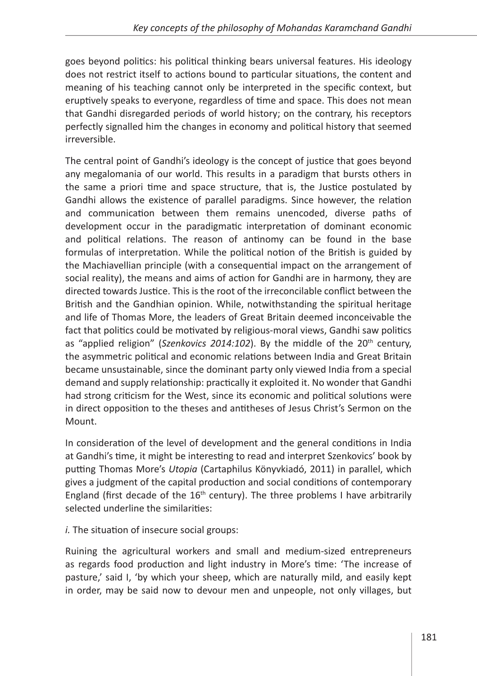goes beyond politics: his political thinking bears universal features. His ideology does not restrict itself to actions bound to particular situations, the content and meaning of his teaching cannot only be interpreted in the specific context, but eruptively speaks to everyone, regardless of time and space. This does not mean that Gandhi disregarded periods of world history; on the contrary, his receptors perfectly signalled him the changes in economy and political history that seemed irreversible.

The central point of Gandhi's ideology is the concept of justice that goes beyond any megalomania of our world. This results in a paradigm that bursts others in the same a priori time and space structure, that is, the Justice postulated by Gandhi allows the existence of parallel paradigms. Since however, the relation and communication between them remains unencoded, diverse paths of development occur in the paradigmatic interpretation of dominant economic and political relations. The reason of antinomy can be found in the base formulas of interpretation. While the political notion of the British is guided by the Machiavellian principle (with a consequential impact on the arrangement of social reality), the means and aims of action for Gandhi are in harmony, they are directed towards Justice. This is the root of the irreconcilable conflict between the British and the Gandhian opinion. While, notwithstanding the spiritual heritage and life of Thomas More, the leaders of Great Britain deemed inconceivable the fact that politics could be motivated by religious-moral views, Gandhi saw politics as "applied religion" (Szenkovics 2014:102). By the middle of the 20<sup>th</sup> century, the asymmetric political and economic relations between India and Great Britain became unsustainable, since the dominant party only viewed India from a special demand and supply relationship: practically it exploited it. No wonder that Gandhi had strong criticism for the West, since its economic and political solutions were in direct opposition to the theses and antitheses of Jesus Christ's Sermon on the Mount.

In consideration of the level of development and the general conditions in India at Gandhi's time, it might be interesting to read and interpret Szenkovics' book by putting Thomas More's *Utopia* (Cartaphilus Könyvkiadó, 2011) in parallel, which gives a judgment of the capital production and social conditions of contemporary England (first decade of the  $16<sup>th</sup>$  century). The three problems I have arbitrarily selected underline the similarities:

*i.* The situation of insecure social groups:

Ruining the agricultural workers and small and medium-sized entrepreneurs as regards food production and light industry in More's time: 'The increase of pasture,' said I, 'by which your sheep, which are naturally mild, and easily kept in order, may be said now to devour men and unpeople, not only villages, but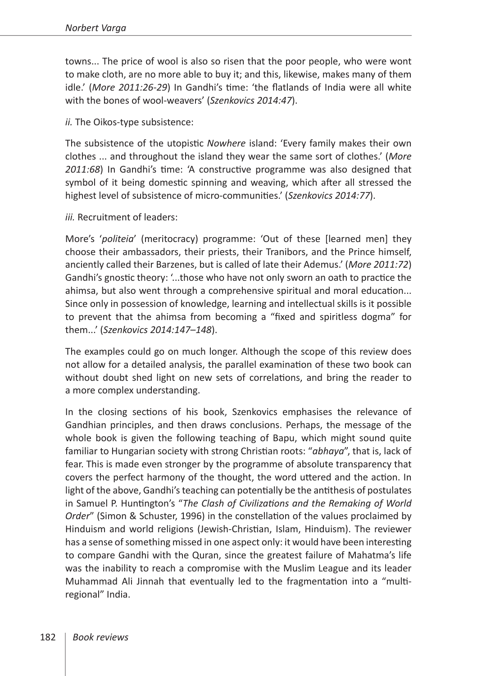towns... The price of wool is also so risen that the poor people, who were wont to make cloth, are no more able to buy it; and this, likewise, makes many of them idle.' (*More 2011:26-29*) In Gandhi's time: 'the flatlands of India were all white with the bones of wool-weavers' (*Szenkovics 2014:47*).

*ii.* The Oikos-type subsistence:

The subsistence of the utopistic *Nowhere* island: 'Every family makes their own clothes ... and throughout the island they wear the same sort of clothes.' (*More 2011:68*) In Gandhi's time: 'A constructive programme was also designed that symbol of it being domestic spinning and weaving, which after all stressed the highest level of subsistence of micro-communities.' (*Szenkovics 2014:77*).

*iii.* Recruitment of leaders:

More's '*politeia*' (meritocracy) programme: 'Out of these [learned men] they choose their ambassadors, their priests, their Tranibors, and the Prince himself, anciently called their Barzenes, but is called of late their Ademus.' (*More 2011:72*) Gandhi's gnostic theory: '...those who have not only sworn an oath to practice the ahimsa, but also went through a comprehensive spiritual and moral education... Since only in possession of knowledge, learning and intellectual skills is it possible to prevent that the ahimsa from becoming a "fixed and spiritless dogma" for them...' (*Szenkovics 2014:147–148*).

The examples could go on much longer. Although the scope of this review does not allow for a detailed analysis, the parallel examination of these two book can without doubt shed light on new sets of correlations, and bring the reader to a more complex understanding.

In the closing sections of his book, Szenkovics emphasises the relevance of Gandhian principles, and then draws conclusions. Perhaps, the message of the whole book is given the following teaching of Bapu, which might sound quite familiar to Hungarian society with strong Christian roots: "*abhaya*", that is, lack of fear. This is made even stronger by the programme of absolute transparency that covers the perfect harmony of the thought, the word uttered and the action. In light of the above, Gandhi's teaching can potentially be the antithesis of postulates in Samuel P. Huntington's "*The Clash of Civilizations and the Remaking of World Order*" (Simon & Schuster, 1996) in the constellation of the values proclaimed by Hinduism and world religions (Jewish-Christian, Islam, Hinduism). The reviewer has a sense of something missed in one aspect only: it would have been interesting to compare Gandhi with the Quran, since the greatest failure of Mahatma's life was the inability to reach a compromise with the Muslim League and its leader Muhammad Ali Jinnah that eventually led to the fragmentation into a "multiregional" India.